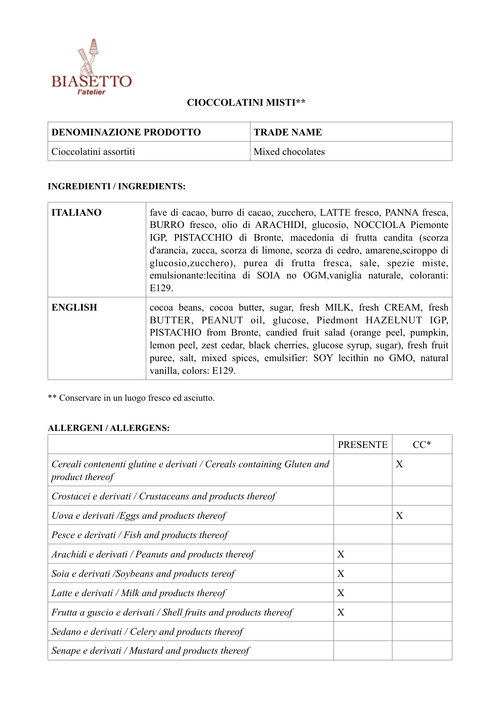

## **CIOCCOLATINI MISTI\*\***

| <b>DENOMINAZIONE PRODOTTO</b> | <b>TRADE NAME</b> |
|-------------------------------|-------------------|
| Cioccolatini assortiti        | Mixed chocolates  |

## **INGREDIENTI / INGREDIENTS:**

| <b>ITALIANO</b> | fave di cacao, burro di cacao, zucchero, LATTE fresco, PANNA fresca,<br>BURRO fresco, olio di ARACHIDI, glucosio, NOCCIOLA Piemonte<br>IGP, PISTACCHIO di Bronte, macedonia di frutta candita (scorza<br>d'arancia, zucca, scorza di limone, scorza di cedro, amarene, sciroppo di<br>glucosio, zucchero), purea di frutta fresca, sale, spezie miste,<br>emulsionante: lecitina di SOIA no OGM, vaniglia naturale, coloranti:<br>E129. |
|-----------------|-----------------------------------------------------------------------------------------------------------------------------------------------------------------------------------------------------------------------------------------------------------------------------------------------------------------------------------------------------------------------------------------------------------------------------------------|
| <b>ENGLISH</b>  | cocoa beans, cocoa butter, sugar, fresh MILK, fresh CREAM, fresh<br>BUTTER, PEANUT oil, glucose, Piedmont HAZELNUT IGP,<br>PISTACHIO from Bronte, candied fruit salad (orange peel, pumpkin,<br>lemon peel, zest cedar, black cherries, glucose syrup, sugar), fresh fruit<br>puree, salt, mixed spices, emulsifier: SOY lecithin no GMO, natural<br>vanilla, colors: E129.                                                             |

\*\* Conservare in un luogo fresco ed asciutto.

## **ALLERGENI / ALLERGENS:**

|                                                                                          | <b>PRESENTE</b> |   |
|------------------------------------------------------------------------------------------|-----------------|---|
| Cereali contenenti glutine e derivati / Cereals containing Gluten and<br>product thereof |                 | X |
| Crostacei e derivati / Crustaceans and products thereof                                  |                 |   |
| Uova e derivati /Eggs and products thereof                                               |                 | X |
| Pesce e derivati / Fish and products thereof                                             |                 |   |
| Arachidi e derivati / Peanuts and products thereof                                       | X               |   |
| Soia e derivati /Soybeans and products tereof                                            | X               |   |
| Latte e derivati / Milk and products thereof                                             | X               |   |
| Frutta a guscio e derivati / Shell fruits and products thereof                           | X               |   |
| Sedano e derivati / Celery and products thereof                                          |                 |   |
| Senape e derivati / Mustard and products thereof                                         |                 |   |